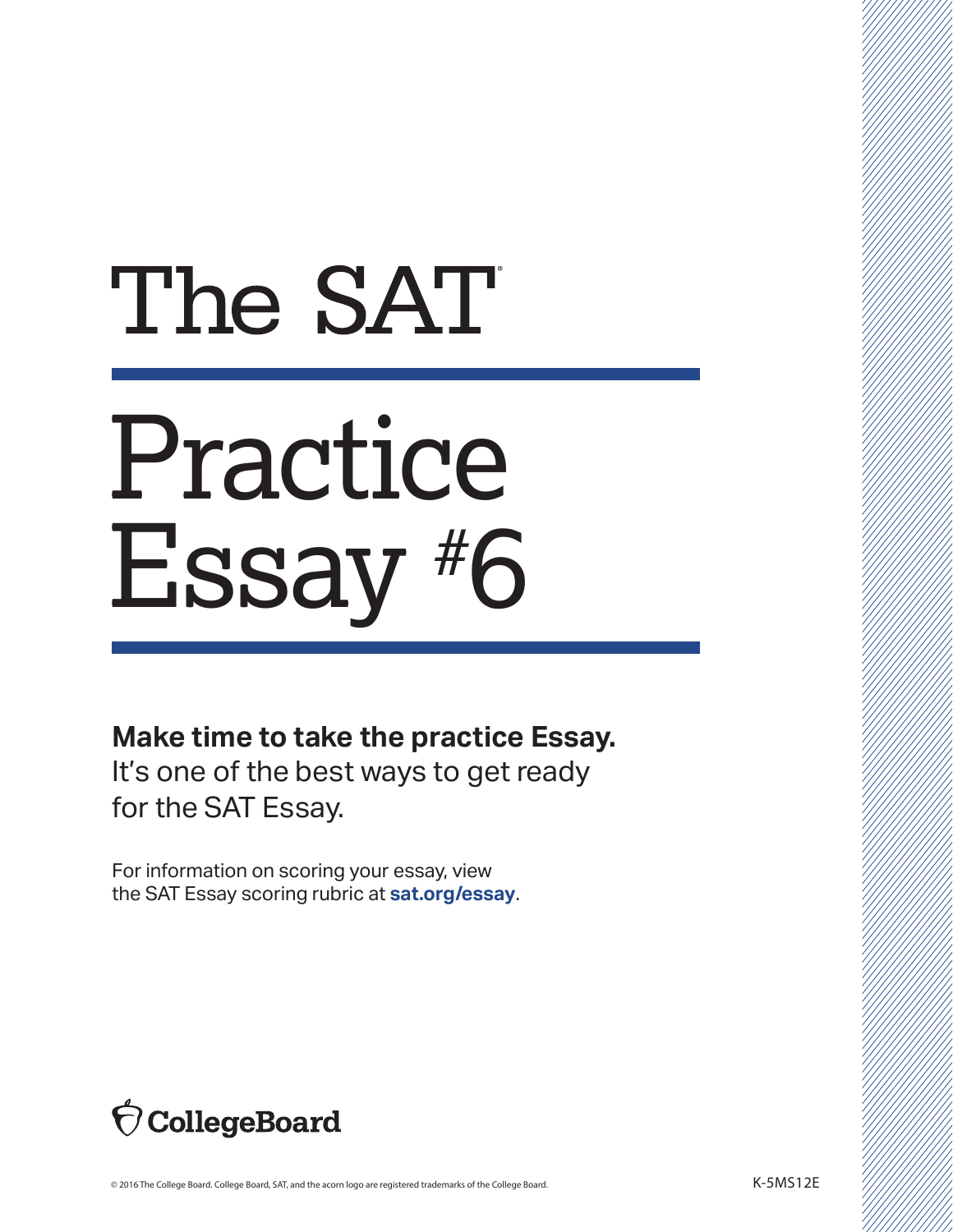## The SAT

## Practice Essay #6

## **Make time to take the practice Essay.**

It's one of the best ways to get ready for the SAT Essay.

For information on scoring your essay, view the SAT Essay scoring rubric at **sat.org/essay**.

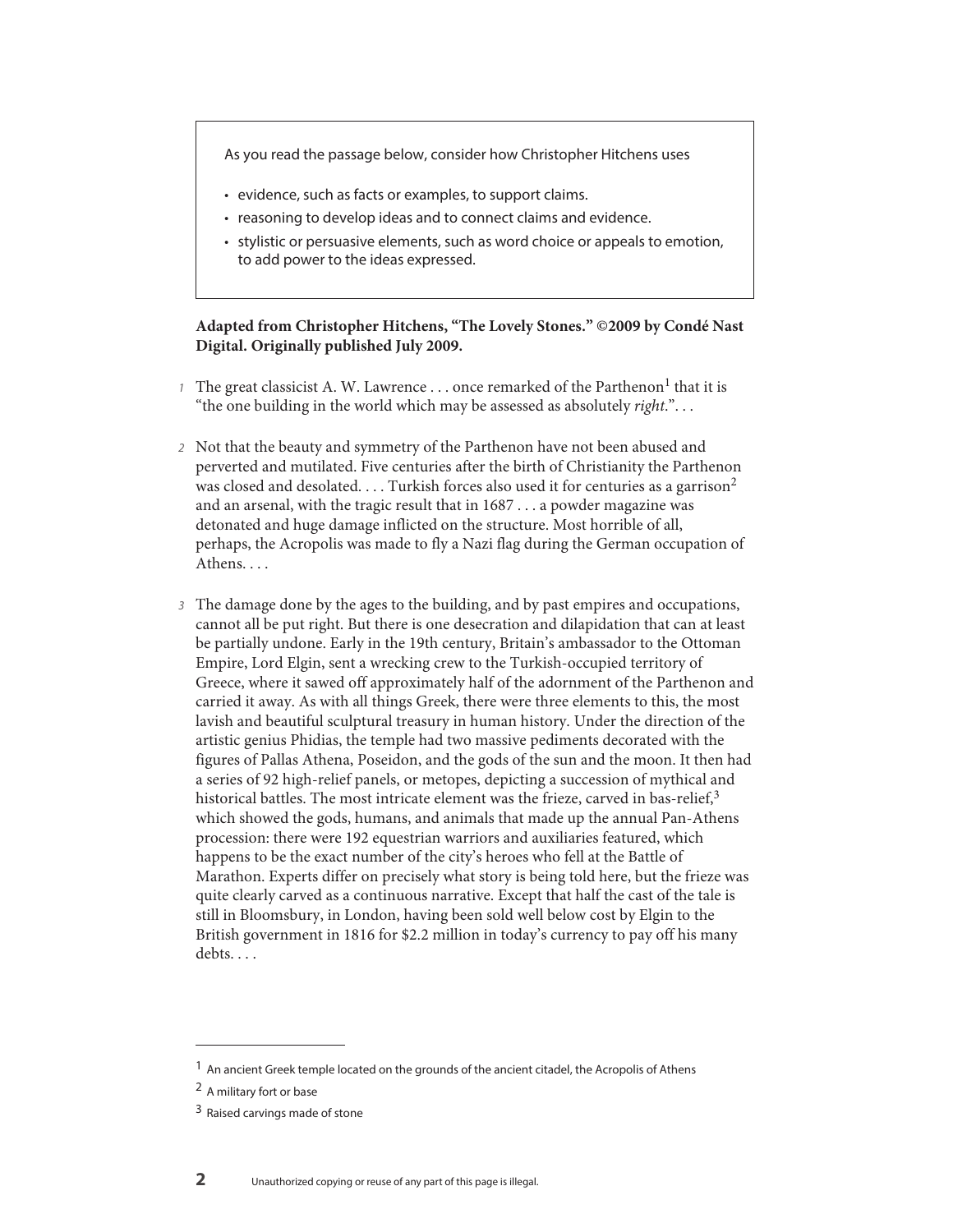As you read the passage below, consider how Christopher Hitchens uses

- evidence, such as facts or examples, to support claims.
- reasoning to develop ideas and to connect claims and evidence.
- stylistic or persuasive elements, such as word choice or appeals to emotion, to add power to the ideas expressed.

## **Adapted from Christopher Hitchens, "The Lovely Stones." ©2009 by Condé Nast Digital. Originally published July 2009.**

- 1 The great classicist A. W. Lawrence ... once remarked of the Parthenon<sup>1</sup> that it is "the one building in the world which may be assessed as absolutely *right*.". . .
- 2 Not that the beauty and symmetry of the Parthenon have not been abused and perverted and mutilated. Five centuries after the birth of Christianity the Parthenon was closed and desolated.... Turkish forces also used it for centuries as a garrison<sup>2</sup> and an arsenal, with the tragic result that in 1687 . . . a powder magazine was detonated and huge damage inflicted on the structure. Most horrible of all, perhaps, the Acropolis was made to fly a Nazi flag during the German occupation of Athens....
- 3 The damage done by the ages to the building, and by past empires and occupations, cannot all be put right. But there is one desecration and dilapidation that can at least be partially undone. Early in the 19th century, Britain's ambassador to the Ottoman Empire, Lord Elgin, sent a wrecking crew to the Turkish-occupied territory of Greece, where it sawed off approximately half of the adornment of the Parthenon and carried it away. As with all things Greek, there were three elements to this, the most lavish and beautiful sculptural treasury in human history. Under the direction of the artistic genius Phidias, the temple had two massive pediments decorated with the figures of Pallas Athena, Poseidon, and the gods of the sun and the moon. It then had a series of 92 high-relief panels, or metopes, depicting a succession of mythical and historical battles. The most intricate element was the frieze, carved in bas-relief, $3$ which showed the gods, humans, and animals that made up the annual Pan-Athens procession: there were 192 equestrian warriors and auxiliaries featured, which happens to be the exact number of the city's heroes who fell at the Battle of Marathon. Experts differ on precisely what story is being told here, but the frieze was quite clearly carved as a continuous narrative. Except that half the cast of the tale is still in Bloomsbury, in London, having been sold well below cost by Elgin to the British government in 1816 for \$2.2 million in today's currency to pay off his many debts...

<sup>&</sup>lt;sup>1</sup> An ancient Greek temple located on the grounds of the ancient citadel, the Acropolis of Athens

<sup>2</sup> A military fort or base

<sup>3</sup> Raised carvings made of stone